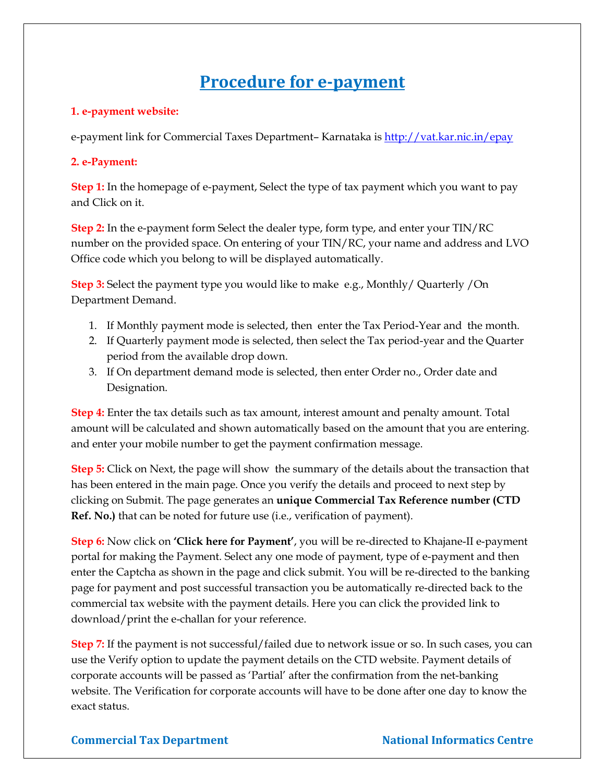# **Procedure for e-payment**

### **1. e-payment website:**

e-payment link for Commercial Taxes Department– Karnataka is <http://vat.kar.nic.in/epay>

## **2. e-Payment:**

**Step 1:** In the homepage of e-payment, Select the type of tax payment which you want to pay and Click on it.

**Step 2:** In the e-payment form Select the dealer type, form type, and enter your TIN/RC number on the provided space. On entering of your TIN/RC, your name and address and LVO Office code which you belong to will be displayed automatically.

**Step 3:** Select the payment type you would like to make e.g., Monthly/ Quarterly /On Department Demand.

- 1. If Monthly payment mode is selected, then enter the Tax Period-Year and the month.
- 2. If Quarterly payment mode is selected, then select the Tax period-year and the Quarter period from the available drop down.
- 3. If On department demand mode is selected, then enter Order no., Order date and Designation.

**Step 4:** Enter the tax details such as tax amount, interest amount and penalty amount. Total amount will be calculated and shown automatically based on the amount that you are entering. and enter your mobile number to get the payment confirmation message.

**Step 5:** Click on Next, the page will show the summary of the details about the transaction that has been entered in the main page. Once you verify the details and proceed to next step by clicking on Submit. The page generates an **unique Commercial Tax Reference number (CTD Ref. No.)** that can be noted for future use (i.e., verification of payment).

**Step 6:** Now click on **'Click here for Payment'**, you will be re-directed to Khajane-II e-payment portal for making the Payment. Select any one mode of payment, type of e-payment and then enter the Captcha as shown in the page and click submit. You will be re-directed to the banking page for payment and post successful transaction you be automatically re-directed back to the commercial tax website with the payment details. Here you can click the provided link to download/print the e-challan for your reference.

**Step 7:** If the payment is not successful/failed due to network issue or so. In such cases, you can use the Verify option to update the payment details on the CTD website. Payment details of corporate accounts will be passed as 'Partial' after the confirmation from the net-banking website. The Verification for corporate accounts will have to be done after one day to know the exact status.